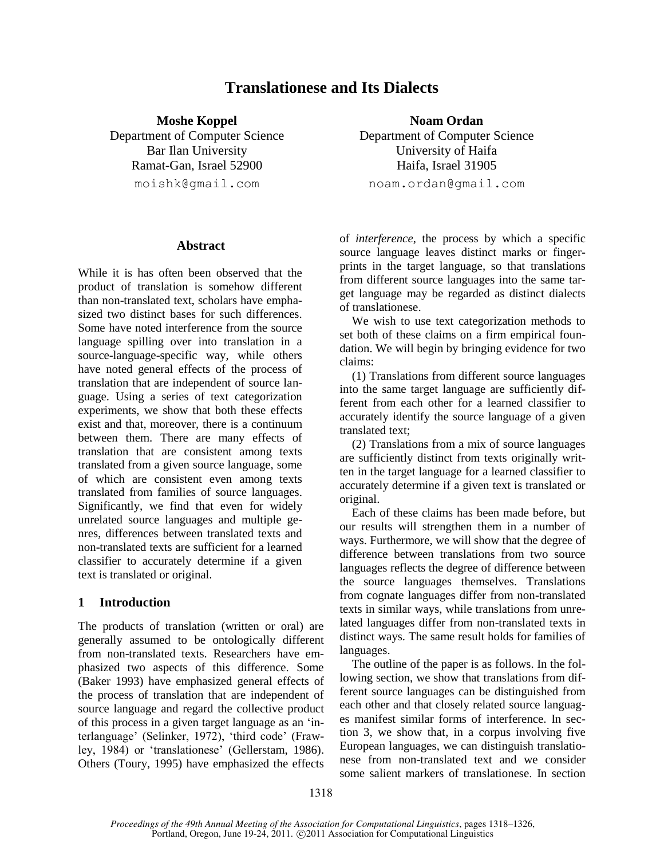# **Translationese and Its Dialects**

**Moshe Koppel Noam Ordan** 

Ramat-Gan, Israel 52900 Haifa, Israel 31905

### **Abstract**

While it is has often been observed that the product of translation is somehow different than non-translated text, scholars have emphasized two distinct bases for such differences. Some have noted interference from the source language spilling over into translation in a source-language-specific way, while others have noted general effects of the process of translation that are independent of source language. Using a series of text categorization experiments, we show that both these effects exist and that, moreover, there is a continuum between them. There are many effects of translation that are consistent among texts translated from a given source language, some of which are consistent even among texts translated from families of source languages. Significantly, we find that even for widely unrelated source languages and multiple genres, differences between translated texts and non-translated texts are sufficient for a learned classifier to accurately determine if a given text is translated or original.

# **1 Introduction**

The products of translation (written or oral) are generally assumed to be ontologically different from non-translated texts. Researchers have emphasized two aspects of this difference. Some (Baker 1993) have emphasized general effects of the process of translation that are independent of source language and regard the collective product of this process in a given target language as an "interlanguage" (Selinker, 1972), "third code" (Frawley, 1984) or "translationese" (Gellerstam, 1986). Others (Toury, 1995) have emphasized the effects

Department of Computer Science Department of Computer Science Bar Ilan University University University of Haifa moishk@gmail.com noam.ordan@gmail.com

> of *interference*, the process by which a specific source language leaves distinct marks or fingerprints in the target language, so that translations from different source languages into the same target language may be regarded as distinct dialects of translationese.

> We wish to use text categorization methods to set both of these claims on a firm empirical foundation. We will begin by bringing evidence for two claims:

> (1) Translations from different source languages into the same target language are sufficiently different from each other for a learned classifier to accurately identify the source language of a given translated text;

> (2) Translations from a mix of source languages are sufficiently distinct from texts originally written in the target language for a learned classifier to accurately determine if a given text is translated or original.

> Each of these claims has been made before, but our results will strengthen them in a number of ways. Furthermore, we will show that the degree of difference between translations from two source languages reflects the degree of difference between the source languages themselves. Translations from cognate languages differ from non-translated texts in similar ways, while translations from unrelated languages differ from non-translated texts in distinct ways. The same result holds for families of languages.

> The outline of the paper is as follows. In the following section, we show that translations from different source languages can be distinguished from each other and that closely related source languages manifest similar forms of interference. In section 3, we show that, in a corpus involving five European languages, we can distinguish translationese from non-translated text and we consider some salient markers of translationese. In section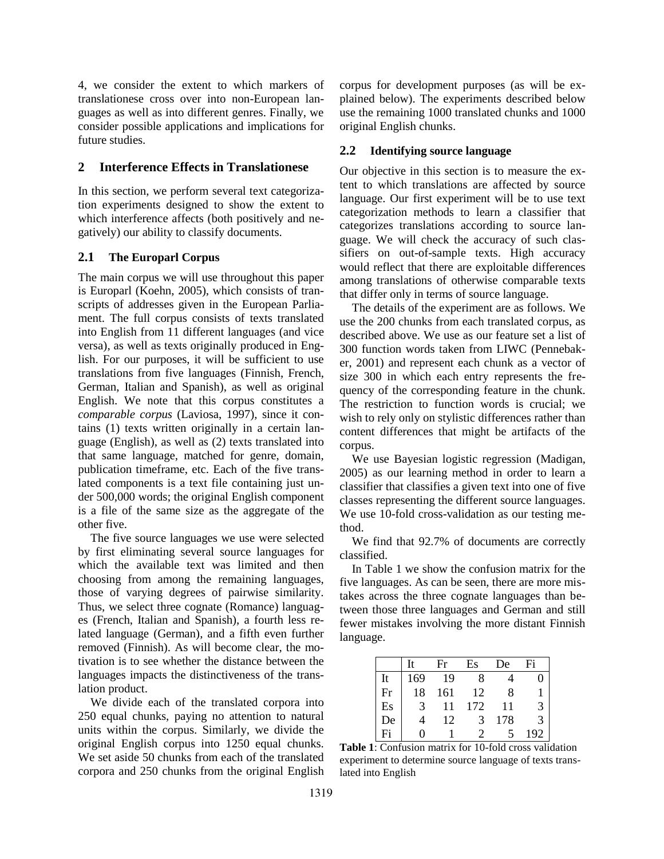4, we consider the extent to which markers of translationese cross over into non-European languages as well as into different genres. Finally, we consider possible applications and implications for future studies.

# **2 Interference Effects in Translationese**

In this section, we perform several text categorization experiments designed to show the extent to which interference affects (both positively and negatively) our ability to classify documents.

# **2.1 The Europarl Corpus**

The main corpus we will use throughout this paper is Europarl (Koehn, 2005), which consists of transcripts of addresses given in the European Parliament. The full corpus consists of texts translated into English from 11 different languages (and vice versa), as well as texts originally produced in English. For our purposes, it will be sufficient to use translations from five languages (Finnish, French, German, Italian and Spanish), as well as original English. We note that this corpus constitutes a *comparable corpus* (Laviosa, 1997), since it contains (1) texts written originally in a certain language (English), as well as (2) texts translated into that same language, matched for genre, domain, publication timeframe, etc. Each of the five translated components is a text file containing just under 500,000 words; the original English component is a file of the same size as the aggregate of the other five.

The five source languages we use were selected by first eliminating several source languages for which the available text was limited and then choosing from among the remaining languages, those of varying degrees of pairwise similarity. Thus, we select three cognate (Romance) languages (French, Italian and Spanish), a fourth less related language (German), and a fifth even further removed (Finnish). As will become clear, the motivation is to see whether the distance between the languages impacts the distinctiveness of the translation product.

We divide each of the translated corpora into 250 equal chunks, paying no attention to natural units within the corpus. Similarly, we divide the original English corpus into 1250 equal chunks. We set aside 50 chunks from each of the translated corpora and 250 chunks from the original English corpus for development purposes (as will be explained below). The experiments described below use the remaining 1000 translated chunks and 1000 original English chunks.

# **2.2 Identifying source language**

Our objective in this section is to measure the extent to which translations are affected by source language. Our first experiment will be to use text categorization methods to learn a classifier that categorizes translations according to source language. We will check the accuracy of such classifiers on out-of-sample texts. High accuracy would reflect that there are exploitable differences among translations of otherwise comparable texts that differ only in terms of source language.

The details of the experiment are as follows. We use the 200 chunks from each translated corpus, as described above. We use as our feature set a list of 300 function words taken from LIWC (Pennebaker, 2001) and represent each chunk as a vector of size 300 in which each entry represents the frequency of the corresponding feature in the chunk. The restriction to function words is crucial; we wish to rely only on stylistic differences rather than content differences that might be artifacts of the corpus.

We use Bayesian logistic regression (Madigan, 2005) as our learning method in order to learn a classifier that classifies a given text into one of five classes representing the different source languages. We use 10-fold cross-validation as our testing method.

We find that 92.7% of documents are correctly classified.

In Table 1 we show the confusion matrix for the five languages. As can be seen, there are more mistakes across the three cognate languages than between those three languages and German and still fewer mistakes involving the more distant Finnish language.

|    | It            | Fr  | Es                    | De  | Fi            |
|----|---------------|-----|-----------------------|-----|---------------|
| It | 169           | 19  | 8                     |     |               |
| Fr | 18            | 161 | 12                    | 8   |               |
| Es | $\mathcal{R}$ |     | 172                   | 11  | 3             |
| De |               | 12  | 3                     | 178 | $\mathcal{F}$ |
| Fi | 0             |     | $\mathcal{D}_{\cdot}$ |     | 192           |

**Table 1**: Confusion matrix for 10-fold cross validation experiment to determine source language of texts translated into English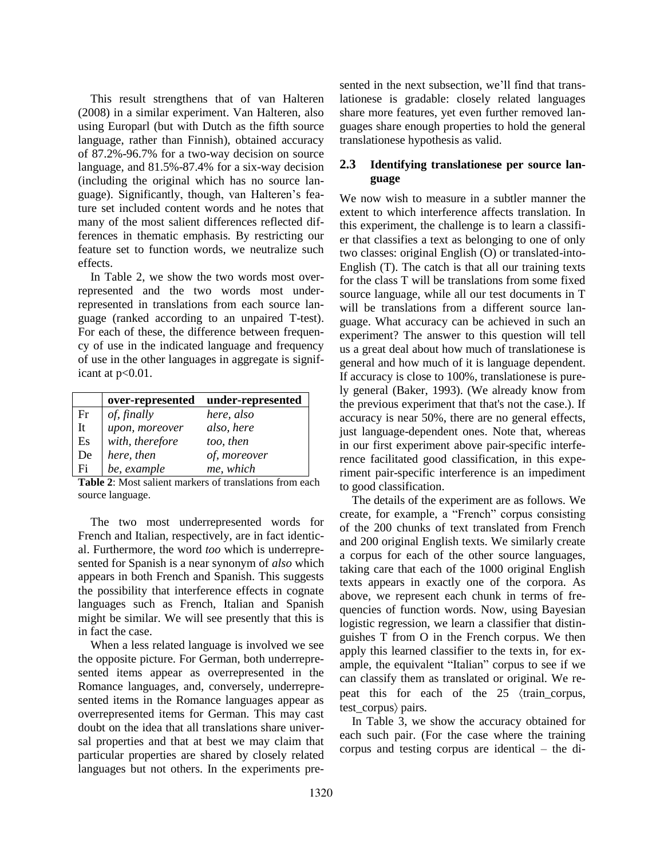This result strengthens that of van Halteren (2008) in a similar experiment. Van Halteren, also using Europarl (but with Dutch as the fifth source language, rather than Finnish), obtained accuracy of 87.2%-96.7% for a two-way decision on source language, and 81.5%-87.4% for a six-way decision (including the original which has no source language). Significantly, though, van Halteren"s feature set included content words and he notes that many of the most salient differences reflected differences in thematic emphasis. By restricting our feature set to function words, we neutralize such effects.

In Table 2, we show the two words most overrepresented and the two words most underrepresented in translations from each source language (ranked according to an unpaired T-test). For each of these, the difference between frequency of use in the indicated language and frequency of use in the other languages in aggregate is significant at  $p<0.01$ .

|    | over-represented | under-represented |
|----|------------------|-------------------|
| Fr | of, finally      | here, also        |
| It | upon, moreover   | also, here        |
| Es | with, therefore  | too, then         |
| De | here, then       | of, moreover      |
| Fi | be, example      | me, which         |

**Table 2**: Most salient markers of translations from each source language.

The two most underrepresented words for French and Italian, respectively, are in fact identical. Furthermore, the word *too* which is underrepresented for Spanish is a near synonym of *also* which appears in both French and Spanish. This suggests the possibility that interference effects in cognate languages such as French, Italian and Spanish might be similar. We will see presently that this is in fact the case.

When a less related language is involved we see the opposite picture. For German, both underrepresented items appear as overrepresented in the Romance languages, and, conversely, underrepresented items in the Romance languages appear as overrepresented items for German. This may cast doubt on the idea that all translations share universal properties and that at best we may claim that particular properties are shared by closely related languages but not others. In the experiments presented in the next subsection, we"ll find that translationese is gradable: closely related languages share more features, yet even further removed languages share enough properties to hold the general translationese hypothesis as valid.

# **2.3 Identifying translationese per source language**

We now wish to measure in a subtler manner the extent to which interference affects translation. In this experiment, the challenge is to learn a classifier that classifies a text as belonging to one of only two classes: original English (O) or translated-into-English (T). The catch is that all our training texts for the class T will be translations from some fixed source language, while all our test documents in T will be translations from a different source language. What accuracy can be achieved in such an experiment? The answer to this question will tell us a great deal about how much of translationese is general and how much of it is language dependent. If accuracy is close to 100%, translationese is purely general (Baker, 1993). (We already know from the previous experiment that that's not the case.). If accuracy is near 50%, there are no general effects, just language-dependent ones. Note that, whereas in our first experiment above pair-specific interference facilitated good classification, in this experiment pair-specific interference is an impediment to good classification.

The details of the experiment are as follows. We create, for example, a "French" corpus consisting of the 200 chunks of text translated from French and 200 original English texts. We similarly create a corpus for each of the other source languages, taking care that each of the 1000 original English texts appears in exactly one of the corpora. As above, we represent each chunk in terms of frequencies of function words. Now, using Bayesian logistic regression, we learn a classifier that distinguishes T from O in the French corpus. We then apply this learned classifier to the texts in, for example, the equivalent "Italian" corpus to see if we can classify them as translated or original. We repeat this for each of the  $25 \times \tan \frac{1}{25}$ test\_corpus) pairs.

In Table 3, we show the accuracy obtained for each such pair. (For the case where the training corpus and testing corpus are identical – the di-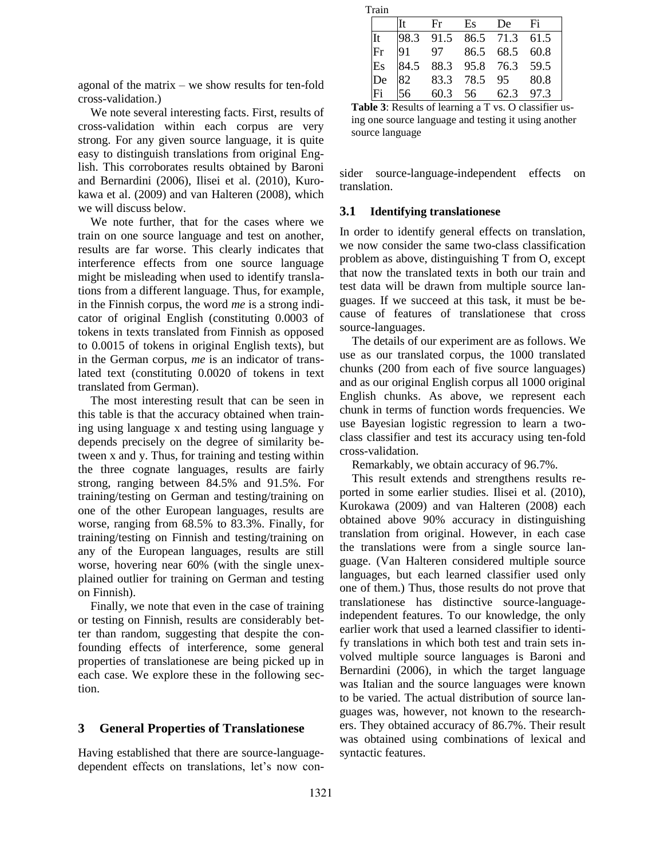| agonal of the matrix $-$ we show results for ten-fold |  |  |
|-------------------------------------------------------|--|--|
| cross-validation.)                                    |  |  |

We note several interesting facts. First, results of cross-validation within each corpus are very strong. For any given source language, it is quite easy to distinguish translations from original English. This corroborates results obtained by Baroni and Bernardini (2006), Ilisei et al. (2010), Kurokawa et al. (2009) and van Halteren (2008), which we will discuss below.

We note further, that for the cases where we train on one source language and test on another, results are far worse. This clearly indicates that interference effects from one source language might be misleading when used to identify translations from a different language. Thus, for example, in the Finnish corpus, the word *me* is a strong indicator of original English (constituting 0.0003 of tokens in texts translated from Finnish as opposed to 0.0015 of tokens in original English texts), but in the German corpus, *me* is an indicator of translated text (constituting 0.0020 of tokens in text translated from German).

The most interesting result that can be seen in this table is that the accuracy obtained when training using language x and testing using language y depends precisely on the degree of similarity between x and y. Thus, for training and testing within the three cognate languages, results are fairly strong, ranging between 84.5% and 91.5%. For training/testing on German and testing/training on one of the other European languages, results are worse, ranging from 68.5% to 83.3%. Finally, for training/testing on Finnish and testing/training on any of the European languages, results are still worse, hovering near 60% (with the single unexplained outlier for training on German and testing on Finnish).

Finally, we note that even in the case of training or testing on Finnish, results are considerably better than random, suggesting that despite the confounding effects of interference, some general properties of translationese are being picked up in each case. We explore these in the following section.

## **3 General Properties of Translationese**

Having established that there are source-languagedependent effects on translations, let's now con-

| Train |      |                     |      |           |      |
|-------|------|---------------------|------|-----------|------|
|       |      | Fr                  | Es   | De        | Fi   |
|       | 98.3 | 91.5 86.5 71.3 61.5 |      |           |      |
| Fr    |      | 97                  |      | 86.5 68.5 | 60.8 |
| Es    | 84.5 | 88.3 95.8 76.3 59.5 |      |           |      |
| De    |      | 83.3                | 78.5 | 95        | 80.8 |
|       | 56   | 603                 | 56   | 62.3      | 973  |

**Table 3**: Results of learning a T vs. O classifier using one source language and testing it using another source language

sider source-language-independent effects on translation.

### **3.1 Identifying translationese**

In order to identify general effects on translation, we now consider the same two-class classification problem as above, distinguishing T from O, except that now the translated texts in both our train and test data will be drawn from multiple source languages. If we succeed at this task, it must be because of features of translationese that cross source-languages.

The details of our experiment are as follows. We use as our translated corpus, the 1000 translated chunks (200 from each of five source languages) and as our original English corpus all 1000 original English chunks. As above, we represent each chunk in terms of function words frequencies. We use Bayesian logistic regression to learn a twoclass classifier and test its accuracy using ten-fold cross-validation.

Remarkably, we obtain accuracy of 96.7%.

This result extends and strengthens results reported in some earlier studies. Ilisei et al. (2010), Kurokawa (2009) and van Halteren (2008) each obtained above 90% accuracy in distinguishing translation from original. However, in each case the translations were from a single source language. (Van Halteren considered multiple source languages, but each learned classifier used only one of them.) Thus, those results do not prove that translationese has distinctive source-languageindependent features. To our knowledge, the only earlier work that used a learned classifier to identify translations in which both test and train sets involved multiple source languages is Baroni and Bernardini (2006), in which the target language was Italian and the source languages were known to be varied. The actual distribution of source languages was, however, not known to the researchers. They obtained accuracy of 86.7%. Their result was obtained using combinations of lexical and syntactic features.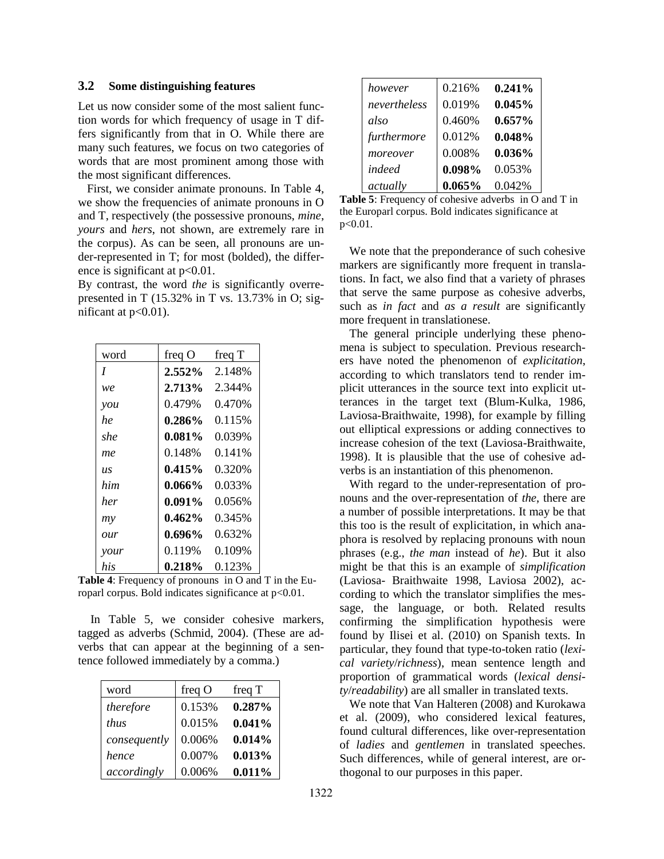### **3.2 Some distinguishing features**

Let us now consider some of the most salient function words for which frequency of usage in T differs significantly from that in O. While there are many such features, we focus on two categories of words that are most prominent among those with the most significant differences.

 First, we consider animate pronouns. In Table 4, we show the frequencies of animate pronouns in O and T, respectively (the possessive pronouns, *mine*, *yours* and *hers*, not shown, are extremely rare in the corpus). As can be seen, all pronouns are under-represented in T; for most (bolded), the difference is significant at  $p<0.01$ .

By contrast, the word *the* is significantly overrepresented in T (15.32% in T vs. 13.73% in O; significant at  $p<0.01$ ).

| word                             | freq $O$  | freq T |
|----------------------------------|-----------|--------|
| I                                | $2.552\%$ | 2.148% |
| we                               | 2.713%    | 2.344% |
| $\mathcal V\mathcal O\mathcal U$ | 0.479%    | 0.470% |
| he                               | $0.286\%$ | 0.115% |
| she                              | $0.081\%$ | 0.039% |
| me                               | 0.148%    | 0.141% |
| IJ.S                             | $0.415\%$ | 0.320% |
| him                              | $0.066\%$ | 0.033% |
| her                              | $0.091\%$ | 0.056% |
| m <sub>V</sub>                   | $0.462\%$ | 0.345% |
| our                              | $0.696\%$ | 0.632% |
| your                             | 0.119%    | 0.109% |
| his                              | $0.218\%$ | 0.123% |

**Table 4**: Frequency of pronouns in O and T in the Europarl corpus. Bold indicates significance at  $p<0.01$ .

In Table 5, we consider cohesive markers, tagged as adverbs (Schmid, 2004). (These are adverbs that can appear at the beginning of a sentence followed immediately by a comma.)

| word         | freq $O$ | freq T |
|--------------|----------|--------|
| therefore    | 0.153%   | 0.287% |
| <i>thus</i>  | 0.015%   | 0.041% |
| consequently | 0.006%   | 0.014% |
| hence        | 0.007%   | 0.013% |
| accordingly  | 0.006%   | 0.011% |

| however      | 0.216% | $0.241\%$ |
|--------------|--------|-----------|
| nevertheless | 0.019% | $0.045\%$ |
| also         | 0.460% | $0.657\%$ |
| furthermore  | 0.012% | 0.048%    |
| moreover     | 0.008% | $0.036\%$ |
| indeed       | 0.098% | 0.053%    |
| actually     | 0.065% | 0.042%    |

**Table 5**: Frequency of cohesive adverbs in O and T in the Europarl corpus. Bold indicates significance at  $p < 0.01$ .

We note that the preponderance of such cohesive markers are significantly more frequent in translations. In fact, we also find that a variety of phrases that serve the same purpose as cohesive adverbs, such as *in fact* and *as a result* are significantly more frequent in translationese.

The general principle underlying these phenomena is subject to speculation. Previous researchers have noted the phenomenon of *explicitation*, according to which translators tend to render implicit utterances in the source text into explicit utterances in the target text (Blum-Kulka, 1986, Laviosa-Braithwaite, 1998), for example by filling out elliptical expressions or adding connectives to increase cohesion of the text (Laviosa-Braithwaite, 1998). It is plausible that the use of cohesive adverbs is an instantiation of this phenomenon.

With regard to the under-representation of pronouns and the over-representation of *the*, there are a number of possible interpretations. It may be that this too is the result of explicitation, in which anaphora is resolved by replacing pronouns with noun phrases (e.g., *the man* instead of *he*). But it also might be that this is an example of *simplification* (Laviosa- Braithwaite 1998, Laviosa 2002), according to which the translator simplifies the message, the language, or both. Related results confirming the simplification hypothesis were found by Ilisei et al. (2010) on Spanish texts. In particular, they found that type-to-token ratio (*lexical variety*/*richness*), mean sentence length and proportion of grammatical words (*lexical density*/*readability*) are all smaller in translated texts.

We note that Van Halteren (2008) and Kurokawa et al. (2009), who considered lexical features, found cultural differences, like over-representation of *ladies* and *gentlemen* in translated speeches. Such differences, while of general interest, are orthogonal to our purposes in this paper.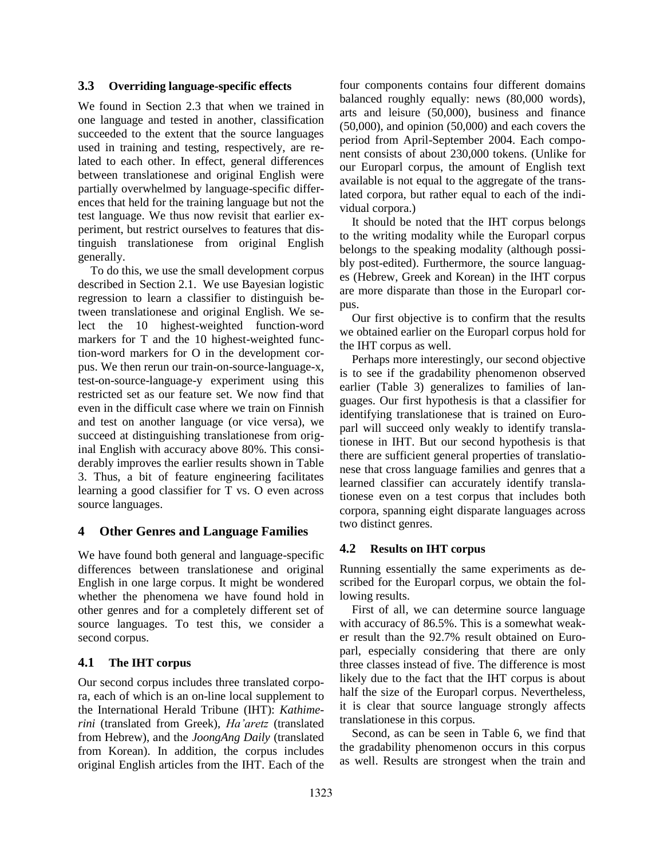## **3.3 Overriding language-specific effects**

We found in Section 2.3 that when we trained in one language and tested in another, classification succeeded to the extent that the source languages used in training and testing, respectively, are related to each other. In effect, general differences between translationese and original English were partially overwhelmed by language-specific differences that held for the training language but not the test language. We thus now revisit that earlier experiment, but restrict ourselves to features that distinguish translationese from original English generally.

To do this, we use the small development corpus described in Section 2.1. We use Bayesian logistic regression to learn a classifier to distinguish between translationese and original English. We select the 10 highest-weighted function-word markers for T and the 10 highest-weighted function-word markers for O in the development corpus. We then rerun our train-on-source-language-x, test-on-source-language-y experiment using this restricted set as our feature set. We now find that even in the difficult case where we train on Finnish and test on another language (or vice versa), we succeed at distinguishing translationese from original English with accuracy above 80%. This considerably improves the earlier results shown in Table 3. Thus, a bit of feature engineering facilitates learning a good classifier for T vs. O even across source languages.

## **4 Other Genres and Language Families**

We have found both general and language-specific differences between translationese and original English in one large corpus. It might be wondered whether the phenomena we have found hold in other genres and for a completely different set of source languages. To test this, we consider a second corpus.

### **4.1 The IHT corpus**

Our second corpus includes three translated corpora, each of which is an on-line local supplement to the International Herald Tribune (IHT): *Kathimerini* (translated from Greek), *Ha'aretz* (translated from Hebrew), and the *JoongAng Daily* (translated from Korean). In addition, the corpus includes original English articles from the IHT. Each of the four components contains four different domains balanced roughly equally: news (80,000 words), arts and leisure (50,000), business and finance (50,000), and opinion (50,000) and each covers the period from April-September 2004. Each component consists of about 230,000 tokens. (Unlike for our Europarl corpus, the amount of English text available is not equal to the aggregate of the translated corpora, but rather equal to each of the individual corpora.)

It should be noted that the IHT corpus belongs to the writing modality while the Europarl corpus belongs to the speaking modality (although possibly post-edited). Furthermore, the source languages (Hebrew, Greek and Korean) in the IHT corpus are more disparate than those in the Europarl corpus.

Our first objective is to confirm that the results we obtained earlier on the Europarl corpus hold for the IHT corpus as well.

Perhaps more interestingly, our second objective is to see if the gradability phenomenon observed earlier (Table 3) generalizes to families of languages. Our first hypothesis is that a classifier for identifying translationese that is trained on Europarl will succeed only weakly to identify translationese in IHT. But our second hypothesis is that there are sufficient general properties of translationese that cross language families and genres that a learned classifier can accurately identify translationese even on a test corpus that includes both corpora, spanning eight disparate languages across two distinct genres.

#### **4.2 Results on IHT corpus**

Running essentially the same experiments as described for the Europarl corpus, we obtain the following results.

First of all, we can determine source language with accuracy of 86.5%. This is a somewhat weaker result than the 92.7% result obtained on Europarl, especially considering that there are only three classes instead of five. The difference is most likely due to the fact that the IHT corpus is about half the size of the Europarl corpus. Nevertheless, it is clear that source language strongly affects translationese in this corpus.

Second, as can be seen in Table 6, we find that the gradability phenomenon occurs in this corpus as well. Results are strongest when the train and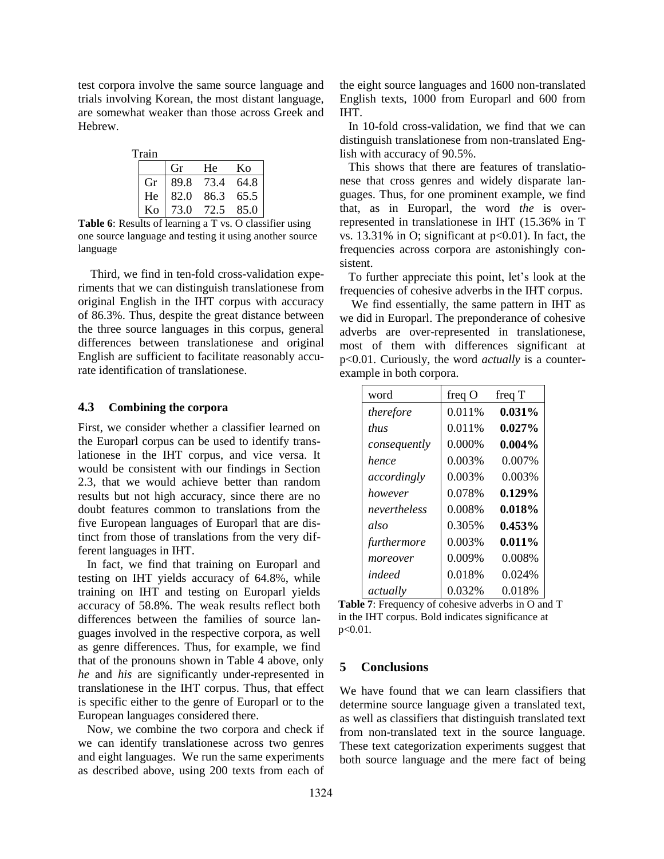test corpora involve the same source language and trials involving Korean, the most distant language, are somewhat weaker than those across Greek and Hebrew.

| Train |    |    |                                                             |
|-------|----|----|-------------------------------------------------------------|
|       | Gr | He | Ko                                                          |
|       |    |    | Gr 89.8 73.4 64.8<br>He 82.0 86.3 65.5<br>Ko 73.0 72.5 85.0 |
|       |    |    |                                                             |
|       |    |    |                                                             |

Table 6: Results of learning a T vs. O classifier using one source language and testing it using another source language

Third, we find in ten-fold cross-validation experiments that we can distinguish translationese from original English in the IHT corpus with accuracy of 86.3%. Thus, despite the great distance between the three source languages in this corpus, general differences between translationese and original English are sufficient to facilitate reasonably accurate identification of translationese.

# **4.3 Combining the corpora**

First, we consider whether a classifier learned on the Europarl corpus can be used to identify translationese in the IHT corpus, and vice versa. It would be consistent with our findings in Section 2.3, that we would achieve better than random results but not high accuracy, since there are no doubt features common to translations from the five European languages of Europarl that are distinct from those of translations from the very different languages in IHT.

 In fact, we find that training on Europarl and testing on IHT yields accuracy of 64.8%, while training on IHT and testing on Europarl yields accuracy of 58.8%. The weak results reflect both differences between the families of source languages involved in the respective corpora, as well as genre differences. Thus, for example, we find that of the pronouns shown in Table 4 above, only *he* and *his* are significantly under-represented in translationese in the IHT corpus. Thus, that effect is specific either to the genre of Europarl or to the European languages considered there.

 Now, we combine the two corpora and check if we can identify translationese across two genres and eight languages. We run the same experiments as described above, using 200 texts from each of the eight source languages and 1600 non-translated English texts, 1000 from Europarl and 600 from IHT.

 In 10-fold cross-validation, we find that we can distinguish translationese from non-translated English with accuracy of 90.5%.

 This shows that there are features of translationese that cross genres and widely disparate languages. Thus, for one prominent example, we find that, as in Europarl, the word *the* is overrepresented in translationese in IHT (15.36% in T vs.  $13.31\%$  in O; significant at  $p<0.01$ ). In fact, the frequencies across corpora are astonishingly consistent.

 To further appreciate this point, let"s look at the frequencies of cohesive adverbs in the IHT corpus.

 We find essentially, the same pattern in IHT as we did in Europarl. The preponderance of cohesive adverbs are over-represented in translationese, most of them with differences significant at p<0.01. Curiously, the word *actually* is a counterexample in both corpora.

| word         | freq $O$  | freq T    |
|--------------|-----------|-----------|
| therefore    | 0.011\%   | $0.031\%$ |
| <i>thus</i>  | 0.011\%   | $0.027\%$ |
| consequently | $0.000\%$ | $0.004\%$ |
| hence        | 0.003%    | 0.007%    |
| accordingly  | 0.003%    | 0.003%    |
| however      | 0.078%    | 0.129%    |
| nevertheless | 0.008%    | 0.018%    |
| also         | 0.305%    | 0.453%    |
| furthermore  | 0.003%    | 0.011%    |
| moreover     | 0.009%    | 0.008%    |
| indeed       | 0.018%    | 0.024%    |
| actually     | 0.032%    | 0.018%    |

**Table 7**: Frequency of cohesive adverbs in O and T in the IHT corpus. Bold indicates significance at p<0.01.

#### **5 Conclusions**

We have found that we can learn classifiers that determine source language given a translated text, as well as classifiers that distinguish translated text from non-translated text in the source language. These text categorization experiments suggest that both source language and the mere fact of being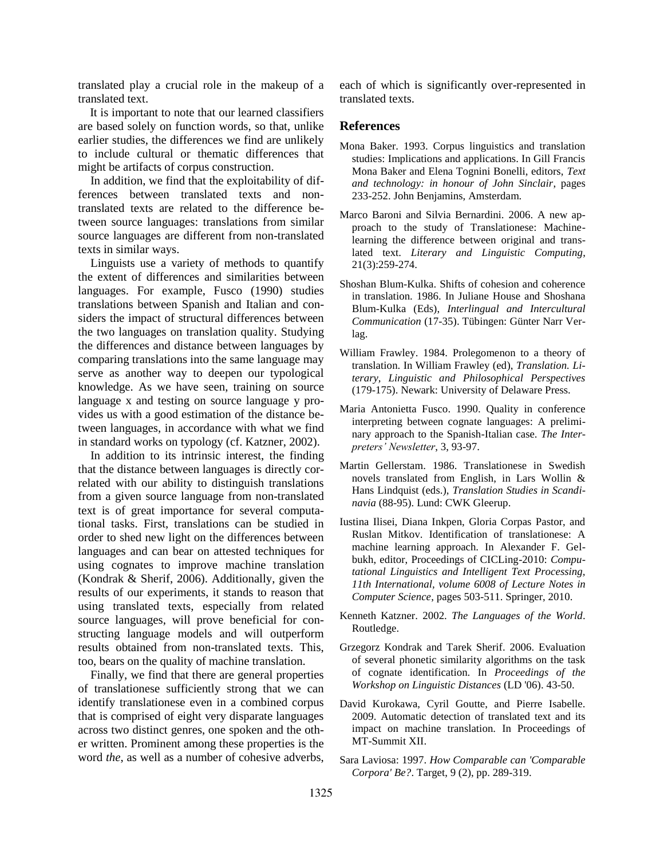translated play a crucial role in the makeup of a translated text.

 It is important to note that our learned classifiers are based solely on function words, so that, unlike earlier studies, the differences we find are unlikely to include cultural or thematic differences that might be artifacts of corpus construction.

In addition, we find that the exploitability of differences between translated texts and nontranslated texts are related to the difference between source languages: translations from similar source languages are different from non-translated texts in similar ways.

Linguists use a variety of methods to quantify the extent of differences and similarities between languages. For example, Fusco (1990) studies translations between Spanish and Italian and considers the impact of structural differences between the two languages on translation quality. Studying the differences and distance between languages by comparing translations into the same language may serve as another way to deepen our typological knowledge. As we have seen, training on source language x and testing on source language y provides us with a good estimation of the distance between languages, in accordance with what we find in standard works on typology (cf. Katzner, 2002).

In addition to its intrinsic interest, the finding that the distance between languages is directly correlated with our ability to distinguish translations from a given source language from non-translated text is of great importance for several computational tasks. First, translations can be studied in order to shed new light on the differences between languages and can bear on attested techniques for using cognates to improve machine translation (Kondrak & Sherif, 2006). Additionally, given the results of our experiments, it stands to reason that using translated texts, especially from related source languages, will prove beneficial for constructing language models and will outperform results obtained from non-translated texts. This, too, bears on the quality of machine translation.

Finally, we find that there are general properties of translationese sufficiently strong that we can identify translationese even in a combined corpus that is comprised of eight very disparate languages across two distinct genres, one spoken and the other written. Prominent among these properties is the word *the*, as well as a number of cohesive adverbs,

each of which is significantly over-represented in translated texts.

#### **References**

- Mona Baker. 1993. Corpus linguistics and translation studies: Implications and applications. In Gill Francis Mona Baker and Elena Tognini Bonelli, editors, *Text and technology: in honour of John Sinclair*, pages 233-252. John Benjamins, Amsterdam.
- Marco Baroni and Silvia Bernardini. 2006. A new approach to the study of Translationese: Machinelearning the difference between original and translated text. *Literary and Linguistic Computing*, 21(3):259-274.
- Shoshan Blum-Kulka. Shifts of cohesion and coherence in translation. 1986. In Juliane House and Shoshana Blum-Kulka (Eds), *Interlingual and Intercultural Communication* (17-35). Tübingen: Günter Narr Verlag.
- William Frawley. 1984. Prolegomenon to a theory of translation. In William Frawley (ed), *Translation. Literary, Linguistic and Philosophical Perspectives* (179-175). Newark: University of Delaware Press.
- Maria Antonietta Fusco. 1990. Quality in conference interpreting between cognate languages: A preliminary approach to the Spanish-Italian case. *The Interpreters' Newsletter*, 3, 93-97.
- Martin Gellerstam. 1986. Translationese in Swedish novels translated from English, in Lars Wollin & Hans Lindquist (eds.), *Translation Studies in Scandinavia* (88-95). Lund: CWK Gleerup.
- Iustina Ilisei, Diana Inkpen, Gloria Corpas Pastor, and Ruslan Mitkov. Identification of translationese: A machine learning approach. In Alexander F. Gelbukh, editor, Proceedings of CICLing-2010: *Computational Linguistics and Intelligent Text Processing, 11th International, volume 6008 of Lecture Notes in Computer Science*, pages 503-511. Springer, 2010.
- Kenneth Katzner. 2002. *The Languages of the World*. Routledge.
- Grzegorz Kondrak and Tarek Sherif. 2006. Evaluation of several phonetic similarity algorithms on the task of cognate identification. In *Proceedings of the Workshop on Linguistic Distances* (LD '06). 43-50.
- David Kurokawa, Cyril Goutte, and Pierre Isabelle. 2009. Automatic detection of translated text and its impact on machine translation. In Proceedings of MT-Summit XII.
- Sara Laviosa: 1997. *How Comparable can 'Comparable Corpora' Be?*. Target, 9 (2), pp. 289-319.